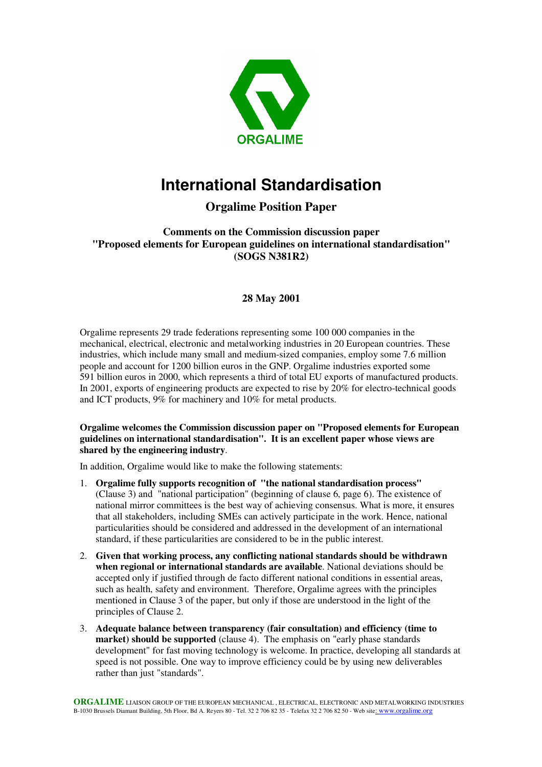

# **International Standardisation**

## **Orgalime Position Paper**

**Comments on the Commission discussion paper "Proposed elements for European guidelines on international standardisation" (SOGS N381R2)**

## **28 May 2001**

Orgalime represents 29 trade federations representing some 100 000 companies in the mechanical, electrical, electronic and metalworking industries in 20 European countries. These industries, which include many small and medium-sized companies, employ some 7.6 million people and account for 1200 billion euros in the GNP. Orgalime industries exported some 591 billion euros in 2000, which represents a third of total EU exports of manufactured products. In 2001, exports of engineering products are expected to rise by 20% for electro-technical goods and ICT products, 9% for machinery and 10% for metal products.

### **Orgalime welcomes the Commission discussion paper on "Proposed elements for European guidelines on international standardisation". It is an excellent paper whose views are shared by the engineering industry**.

In addition, Orgalime would like to make the following statements:

- 1. **Orgalime fully supports recognition of "the national standardisation process"** (Clause 3) and "national participation" (beginning of clause 6, page 6). The existence of national mirror committees is the best way of achieving consensus. What is more, it ensures that all stakeholders, including SMEs can actively participate in the work. Hence, national particularities should be considered and addressed in the development of an international standard, if these particularities are considered to be in the public interest.
- 2. **Given that working process, any conflicting national standards should be withdrawn when regional or international standards are available**. National deviations should be accepted only if justified through de facto different national conditions in essential areas, such as health, safety and environment. Therefore, Orgalime agrees with the principles mentioned in Clause 3 of the paper, but only if those are understood in the light of the principles of Clause 2.
- 3. **Adequate balance between transparency (fair consultation) and efficiency (time to market) should be supported** (clause 4). The emphasis on "early phase standards development" for fast moving technology is welcome. In practice, developing all standards at speed is not possible. One way to improve efficiency could be by using new deliverables rather than just "standards".